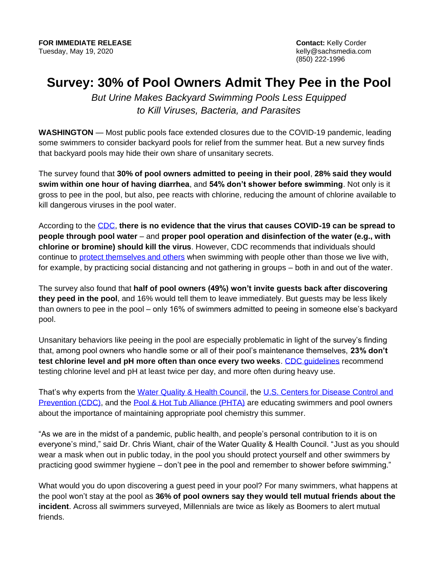(850) 222-1996

## **Survey: 30% of Pool Owners Admit They Pee in the Pool**

*But Urine Makes Backyard Swimming Pools Less Equipped to Kill Viruses, Bacteria, and Parasites*

**WASHINGTON** — Most public pools face extended closures due to the COVID-19 pandemic, leading some swimmers to consider backyard pools for relief from the summer heat. But a new survey finds that backyard pools may hide their own share of unsanitary secrets.

The survey found that **30% of pool owners admitted to peeing in their pool**, **28% said they would swim within one hour of having diarrhea**, and **54% don't shower before swimming**. Not only is it gross to pee in the pool, but also, pee reacts with chlorine, reducing the amount of chlorine available to kill dangerous viruses in the pool water.

According to the [CDC,](https://protect-us.mimecast.com/s/5s2iCOY5zPipY7lVCELoTv?domain=cdc.gov) **there is no evidence that the virus that causes COVID-19 can be spread to people through pool water** – and **proper pool operation and disinfection of the water (e.g., with chlorine or bromine) should kill the virus**. However, CDC recommends that individuals should continue to [protect themselves and others](https://www.cdc.gov/coronavirus/2019-ncov/prevent-getting-sick/prevention.html) when swimming with people other than those we live with, for example, by practicing social distancing and not gathering in groups – both in and out of the water.

The survey also found that **half of pool owners (49%) won't invite guests back after discovering they peed in the pool**, and 16% would tell them to leave immediately. But guests may be less likely than owners to pee in the pool – only 16% of swimmers admitted to peeing in someone else's backyard pool.

Unsanitary behaviors like peeing in the pool are especially problematic in light of the survey's finding that, among pool owners who handle some or all of their pool's maintenance themselves, **23% don't test chlorine level and pH more often than once every two weeks**. [CDC guidelines](https://www.cdc.gov/healthywater/swimming/residential/disinfection-testing.html) recommend testing chlorine level and pH at least twice per day, and more often during heavy use.

That's why experts from the [Water Quality & Health Council,](https://waterandhealth.org/) the U.S. Centers for Disease Control and [Prevention \(CDC\),](https://www.cdc.gov/healthywater/swimming/) and the Pool & [Hot Tub Alliance \(PHTA\)](https://www.phta.org/) are educating swimmers and pool owners about the importance of maintaining appropriate pool chemistry this summer.

"As we are in the midst of a pandemic, public health, and people's personal contribution to it is on everyone's mind," said Dr. Chris Wiant, chair of the Water Quality & Health Council. "Just as you should wear a mask when out in public today, in the pool you should protect yourself and other swimmers by practicing good swimmer hygiene – don't pee in the pool and remember to shower before swimming."

What would you do upon discovering a guest peed in your pool? For many swimmers, what happens at the pool won't stay at the pool as **36% of pool owners say they would tell mutual friends about the incident**. Across all swimmers surveyed, Millennials are twice as likely as Boomers to alert mutual friends.